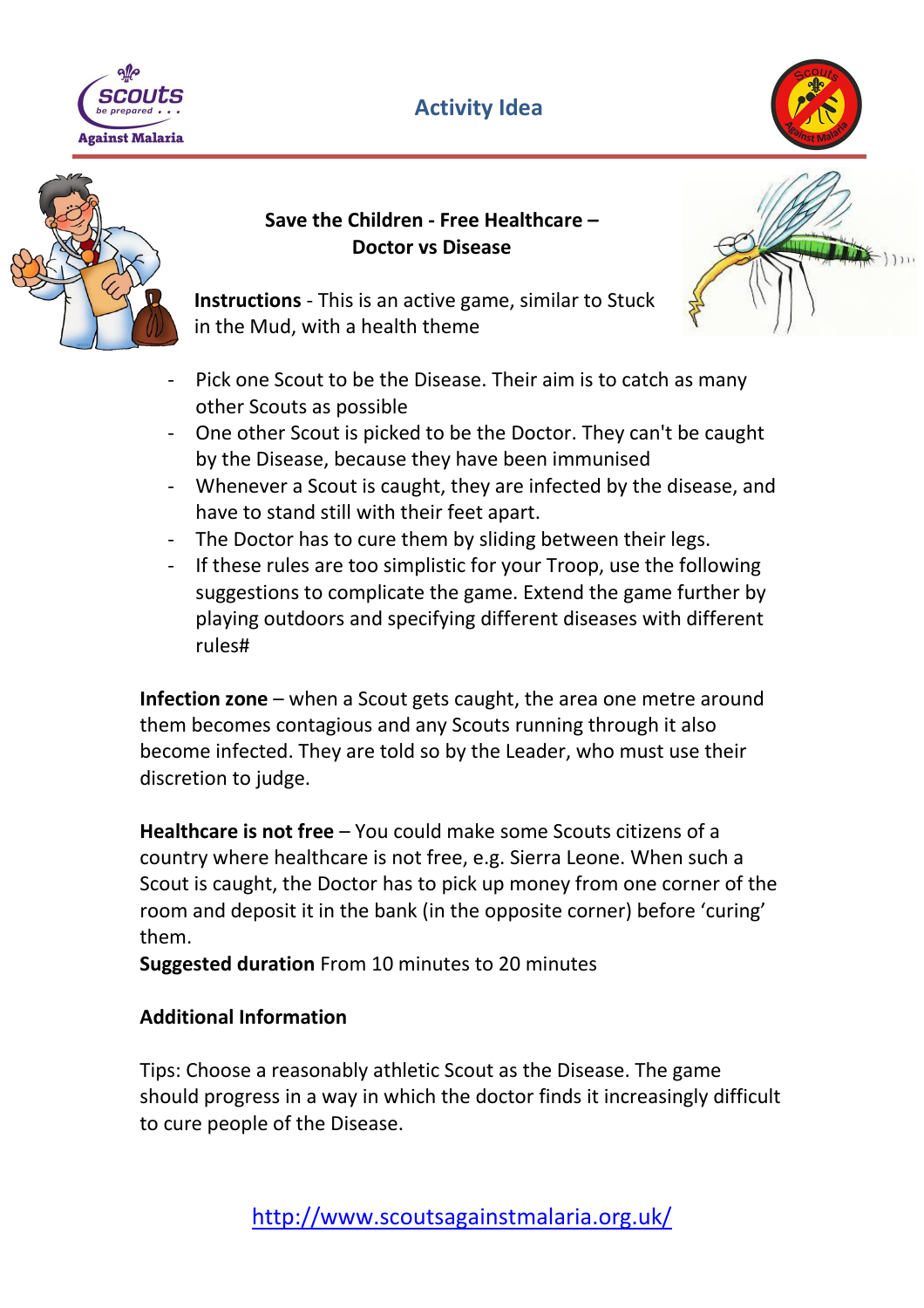

## **Activity Idea**





## **Save the Children - Free Healthcare – Doctor vs Disease**



**Instructions** - This is an active game, similar to Stuck in the Mud, with a health theme

- Pick one Scout to be the Disease. Their aim is to catch as many other Scouts as possible
- One other Scout is picked to be the Doctor. They can't be caught by the Disease, because they have been immunised
- Whenever a Scout is caught, they are infected by the disease, and have to stand still with their feet apart.
- The Doctor has to cure them by sliding between their legs.
- If these rules are too simplistic for your Troop, use the following suggestions to complicate the game. Extend the game further by playing outdoors and specifying different diseases with different rules#

**Infection zone** – when a Scout gets caught, the area one metre around them becomes contagious and any Scouts running through it also become infected. They are told so by the Leader, who must use their discretion to judge.

**Healthcare is not free** – You could make some Scouts citizens of a country where healthcare is not free, e.g. Sierra Leone. When such a Scout is caught, the Doctor has to pick up money from one corner of the room and deposit it in the bank (in the opposite corner) before 'curing' them.

**Suggested duration** From 10 minutes to 20 minutes

## **Additional Information**

Tips: Choose a reasonably athletic Scout as the Disease. The game should progress in a way in which the doctor finds it increasingly difficult to cure people of the Disease.